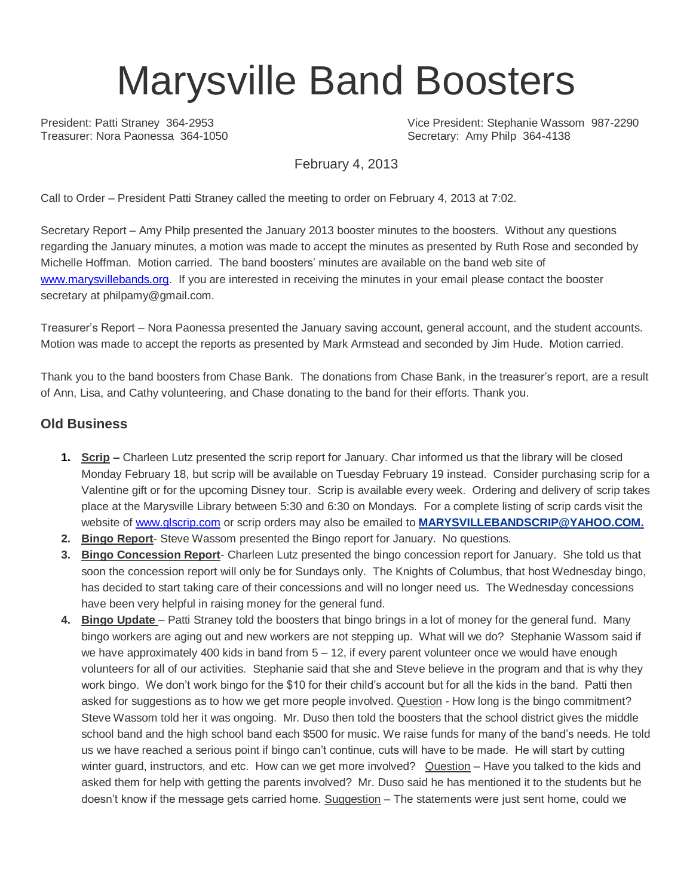# Marysville Band Boosters

Treasurer: Nora Paonessa 364-1050 Secretary: Amy Philp 364-4138

President: Patti Straney 364-2953 Vice President: Stephanie Wassom 987-2290

February 4, 2013

Call to Order – President Patti Straney called the meeting to order on February 4, 2013 at 7:02.

Secretary Report – Amy Philp presented the January 2013 booster minutes to the boosters. Without any questions regarding the January minutes, a motion was made to accept the minutes as presented by Ruth Rose and seconded by Michelle Hoffman. Motion carried. The band boosters' minutes are available on the band web site of [www.marysvillebands.org.](http://www.marysvillebands.org/) If you are interested in receiving the minutes in your email please contact the booster secretary at philpamy@gmail.com.

Treasurer's Report – Nora Paonessa presented the January saving account, general account, and the student accounts. Motion was made to accept the reports as presented by Mark Armstead and seconded by Jim Hude. Motion carried.

Thank you to the band boosters from Chase Bank. The donations from Chase Bank, in the treasurer's report, are a result of Ann, Lisa, and Cathy volunteering, and Chase donating to the band for their efforts. Thank you.

#### **Old Business**

- **1. Scrip –** Charleen Lutz presented the scrip report for January. Char informed us that the library will be closed Monday February 18, but scrip will be available on Tuesday February 19 instead. Consider purchasing scrip for a Valentine gift or for the upcoming Disney tour. Scrip is available every week. Ordering and delivery of scrip takes place at the Marysville Library between 5:30 and 6:30 on Mondays. For a complete listing of scrip cards visit the website of [www.glscrip.com](http://www.glscrip.com/) or scrip orders may also be emailed to **[MARYSVILLEBANDSCRIP@YAHOO.COM.](http://us.f838.mail.yahoo.com/ym/Compose?To=MARYSVILLEBANDSCRIP@YAHOO.COM%20/%20_blank)**
- **2. Bingo Report** Steve Wassom presented the Bingo report for January. No questions.
- **3. Bingo Concession Report** Charleen Lutz presented the bingo concession report for January. She told us that soon the concession report will only be for Sundays only. The Knights of Columbus, that host Wednesday bingo, has decided to start taking care of their concessions and will no longer need us. The Wednesday concessions have been very helpful in raising money for the general fund.
- **4. Bingo Update**  Patti Straney told the boosters that bingo brings in a lot of money for the general fund. Many bingo workers are aging out and new workers are not stepping up. What will we do? Stephanie Wassom said if we have approximately 400 kids in band from  $5 - 12$ , if every parent volunteer once we would have enough volunteers for all of our activities. Stephanie said that she and Steve believe in the program and that is why they work bingo. We don't work bingo for the \$10 for their child's account but for all the kids in the band. Patti then asked for suggestions as to how we get more people involved. Question - How long is the bingo commitment? Steve Wassom told her it was ongoing. Mr. Duso then told the boosters that the school district gives the middle school band and the high school band each \$500 for music. We raise funds for many of the band's needs. He told us we have reached a serious point if bingo can't continue, cuts will have to be made. He will start by cutting winter guard, instructors, and etc. How can we get more involved? Question – Have you talked to the kids and asked them for help with getting the parents involved? Mr. Duso said he has mentioned it to the students but he doesn't know if the message gets carried home. Suggestion - The statements were just sent home, could we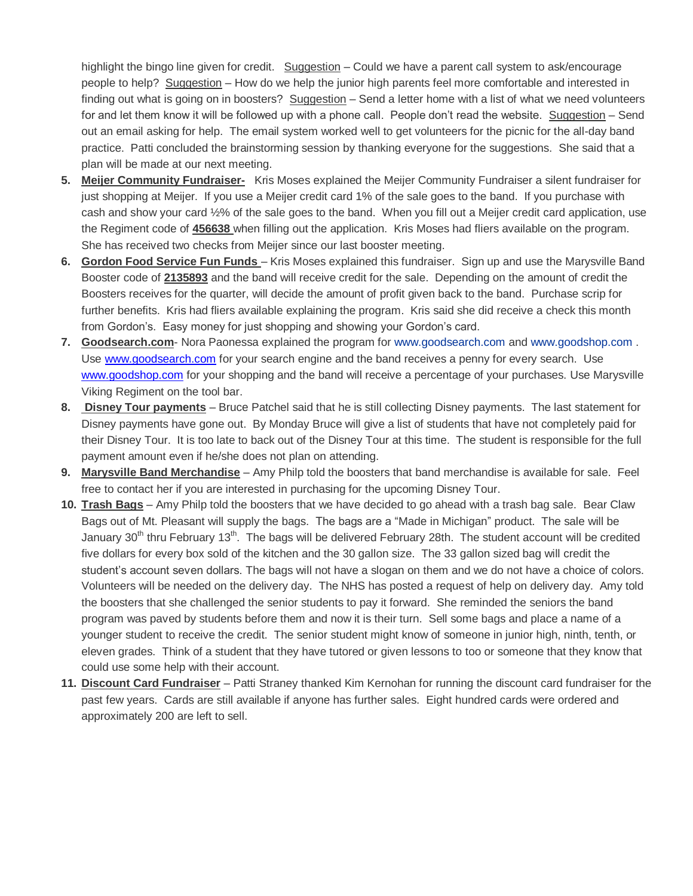highlight the bingo line given for credit. Suggestion – Could we have a parent call system to ask/encourage people to help? Suggestion – How do we help the junior high parents feel more comfortable and interested in finding out what is going on in boosters? Suggestion – Send a letter home with a list of what we need volunteers for and let them know it will be followed up with a phone call. People don't read the website. Suggestion – Send out an email asking for help. The email system worked well to get volunteers for the picnic for the all-day band practice. Patti concluded the brainstorming session by thanking everyone for the suggestions. She said that a plan will be made at our next meeting.

- **5. Meijer Community Fundraiser-** Kris Moses explained the Meijer Community Fundraiser a silent fundraiser for just shopping at Meijer. If you use a Meijer credit card 1% of the sale goes to the band. If you purchase with cash and show your card ½% of the sale goes to the band. When you fill out a Meijer credit card application, use the Regiment code of **456638** when filling out the application. Kris Moses had fliers available on the program. She has received two checks from Meijer since our last booster meeting.
- **6. Gordon Food Service Fun Funds**  Kris Moses explained this fundraiser. Sign up and use the Marysville Band Booster code of **2135893** and the band will receive credit for the sale. Depending on the amount of credit the Boosters receives for the quarter, will decide the amount of profit given back to the band. Purchase scrip for further benefits. Kris had fliers available explaining the program. Kris said she did receive a check this month from Gordon's. Easy money for just shopping and showing your Gordon's card.
- **7. Goodsearch.com** Nora Paonessa explained the program for [www.goodsearch.com](http://www.goodsearch.com/) and [www.goodshop.com](http://www.goodshop.com/) . Use [www.goodsearch.com](http://www.goodsearch.com/) for your search engine and the band receives a penny for every search. Use [www.goodshop.com](http://www.goodshop.com/) for your shopping and the band will receive a percentage of your purchases. Use Marysville Viking Regiment on the tool bar.
- **8. Disney Tour payments** Bruce Patchel said that he is still collecting Disney payments. The last statement for Disney payments have gone out. By Monday Bruce will give a list of students that have not completely paid for their Disney Tour. It is too late to back out of the Disney Tour at this time. The student is responsible for the full payment amount even if he/she does not plan on attending.
- **9. Marysville Band Merchandise** Amy Philp told the boosters that band merchandise is available for sale. Feel free to contact her if you are interested in purchasing for the upcoming Disney Tour.
- **10. Trash Bags** Amy Philp told the boosters that we have decided to go ahead with a trash bag sale. Bear Claw Bags out of Mt. Pleasant will supply the bags. The bags are a "Made in Michigan" product. The sale will be January 30<sup>th</sup> thru February 13<sup>th</sup>. The bags will be delivered February 28th. The student account will be credited five dollars for every box sold of the kitchen and the 30 gallon size. The 33 gallon sized bag will credit the student's account seven dollars. The bags will not have a slogan on them and we do not have a choice of colors. Volunteers will be needed on the delivery day. The NHS has posted a request of help on delivery day. Amy told the boosters that she challenged the senior students to pay it forward. She reminded the seniors the band program was paved by students before them and now it is their turn. Sell some bags and place a name of a younger student to receive the credit. The senior student might know of someone in junior high, ninth, tenth, or eleven grades. Think of a student that they have tutored or given lessons to too or someone that they know that could use some help with their account.
- **11. Discount Card Fundraiser** Patti Straney thanked Kim Kernohan for running the discount card fundraiser for the past few years. Cards are still available if anyone has further sales. Eight hundred cards were ordered and approximately 200 are left to sell.